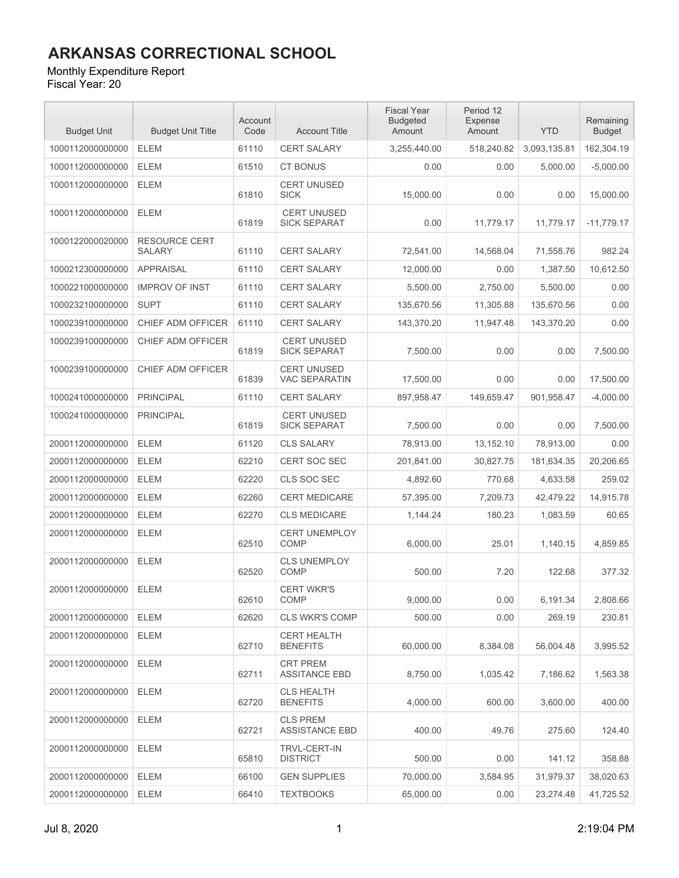#### Monthly Expenditure Report

| <b>Budget Unit</b> | <b>Budget Unit Title</b>              | Account<br>Code | <b>Account Title</b>                       | <b>Fiscal Year</b><br><b>Budgeted</b><br>Amount | Period 12<br>Expense<br>Amount | <b>YTD</b>   | Remaining<br><b>Budget</b> |
|--------------------|---------------------------------------|-----------------|--------------------------------------------|-------------------------------------------------|--------------------------------|--------------|----------------------------|
| 1000112000000000   | <b>ELEM</b>                           | 61110           | <b>CERT SALARY</b>                         | 3,255,440.00                                    | 518,240.82                     | 3,093,135.81 | 162,304.19                 |
| 1000112000000000   | <b>ELEM</b>                           | 61510           | <b>CT BONUS</b>                            | 0.00                                            | 0.00                           | 5,000.00     | $-5,000.00$                |
| 1000112000000000   | <b>ELEM</b>                           | 61810           | <b>CERT UNUSED</b><br><b>SICK</b>          | 15,000.00                                       | 0.00                           | 0.00         | 15,000.00                  |
| 1000112000000000   | <b>ELEM</b>                           | 61819           | <b>CERT UNUSED</b><br><b>SICK SEPARAT</b>  | 0.00                                            | 11,779.17                      | 11,779.17    | $-11,779.17$               |
| 1000122000020000   | <b>RESOURCE CERT</b><br><b>SALARY</b> | 61110           | <b>CERT SALARY</b>                         | 72,541.00                                       | 14,568.04                      | 71,558.76    | 982.24                     |
| 1000212300000000   | <b>APPRAISAL</b>                      | 61110           | <b>CERT SALARY</b>                         | 12,000.00                                       | 0.00                           | 1,387.50     | 10,612.50                  |
| 1000221000000000   | <b>IMPROV OF INST</b>                 | 61110           | <b>CERT SALARY</b>                         | 5,500.00                                        | 2,750.00                       | 5,500.00     | 0.00                       |
| 1000232100000000   | <b>SUPT</b>                           | 61110           | <b>CERT SALARY</b>                         | 135,670.56                                      | 11,305.88                      | 135,670.56   | 0.00                       |
| 1000239100000000   | CHIEF ADM OFFICER                     | 61110           | <b>CERT SALARY</b>                         | 143,370.20                                      | 11,947.48                      | 143,370.20   | 0.00                       |
| 1000239100000000   | CHIEF ADM OFFICER                     | 61819           | <b>CERT UNUSED</b><br><b>SICK SEPARAT</b>  | 7,500.00                                        | 0.00                           | 0.00         | 7,500.00                   |
| 1000239100000000   | CHIEF ADM OFFICER                     | 61839           | <b>CERT UNUSED</b><br><b>VAC SEPARATIN</b> | 17.500.00                                       | 0.00                           | 0.00         | 17,500.00                  |
| 1000241000000000   | <b>PRINCIPAL</b>                      | 61110           | <b>CERT SALARY</b>                         | 897,958.47                                      | 149.659.47                     | 901,958.47   | $-4,000.00$                |
| 1000241000000000   | <b>PRINCIPAL</b>                      | 61819           | <b>CERT UNUSED</b><br><b>SICK SEPARAT</b>  | 7,500.00                                        | 0.00                           | 0.00         | 7,500.00                   |
| 2000112000000000   | <b>ELEM</b>                           | 61120           | <b>CLS SALARY</b>                          | 78,913.00                                       | 13,152.10                      | 78,913.00    | 0.00                       |
| 2000112000000000   | <b>ELEM</b>                           | 62210           | <b>CERT SOC SEC</b>                        | 201,841.00                                      | 30,827.75                      | 181,634.35   | 20,206.65                  |
| 2000112000000000   | <b>ELEM</b>                           | 62220           | CLS SOC SEC                                | 4,892.60                                        | 770.68                         | 4,633.58     | 259.02                     |
| 2000112000000000   | <b>ELEM</b>                           | 62260           | <b>CERT MEDICARE</b>                       | 57,395.00                                       | 7,209.73                       | 42,479.22    | 14,915.78                  |
| 2000112000000000   | <b>ELEM</b>                           | 62270           | <b>CLS MEDICARE</b>                        | 1,144.24                                        | 180.23                         | 1,083.59     | 60.65                      |
| 2000112000000000   | <b>ELEM</b>                           | 62510           | <b>CERT UNEMPLOY</b><br><b>COMP</b>        | 6,000.00                                        | 25.01                          | 1,140.15     | 4,859.85                   |
| 2000112000000000   | <b>ELEM</b>                           | 62520           | <b>CLS UNEMPLOY</b><br>COMP                | 500.00                                          | 7.20                           | 122.68       | 377.32                     |
| 2000112000000000   | <b>ELEM</b>                           | 62610           | <b>CERT WKR'S</b><br><b>COMP</b>           | 9,000.00                                        | 0.00                           | 6,191.34     | 2,808.66                   |
| 2000112000000000   | ELEM                                  | 62620           | <b>CLS WKR'S COMP</b>                      | 500.00                                          | 0.00                           | 269.19       | 230.81                     |
| 2000112000000000   | <b>ELEM</b>                           | 62710           | <b>CERT HEALTH</b><br><b>BENEFITS</b>      | 60.000.00                                       | 8,384.08                       | 56,004.48    | 3,995.52                   |
| 2000112000000000   | <b>ELEM</b>                           | 62711           | <b>CRT PREM</b><br><b>ASSITANCE EBD</b>    | 8,750.00                                        | 1,035.42                       | 7,186.62     | 1,563.38                   |
| 2000112000000000   | <b>ELEM</b>                           | 62720           | <b>CLS HEALTH</b><br><b>BENEFITS</b>       | 4.000.00                                        | 600.00                         | 3,600.00     | 400.00                     |
| 2000112000000000   | <b>ELEM</b>                           | 62721           | <b>CLS PREM</b><br><b>ASSISTANCE EBD</b>   | 400.00                                          | 49.76                          | 275.60       | 124.40                     |
| 2000112000000000   | <b>ELEM</b>                           | 65810           | <b>TRVL-CERT-IN</b><br><b>DISTRICT</b>     | 500.00                                          | 0.00                           | 141.12       | 358.88                     |
| 2000112000000000   | <b>ELEM</b>                           | 66100           | <b>GEN SUPPLIES</b>                        | 70,000.00                                       | 3,584.95                       | 31,979.37    | 38,020.63                  |
| 2000112000000000   | ELEM                                  | 66410           | <b>TEXTBOOKS</b>                           | 65,000.00                                       | 0.00                           | 23,274.48    | 41,725.52                  |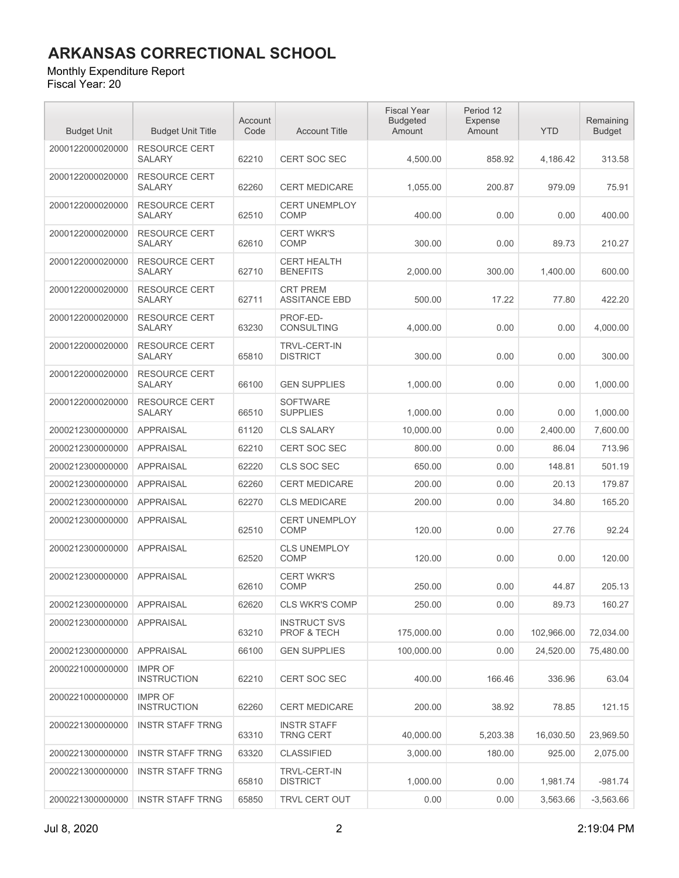#### Monthly Expenditure Report

| <b>Budget Unit</b> | <b>Budget Unit Title</b>              | Account<br>Code | <b>Account Title</b>                    | <b>Fiscal Year</b><br><b>Budgeted</b><br>Amount | Period 12<br>Expense<br>Amount | <b>YTD</b> | Remaining<br><b>Budget</b> |
|--------------------|---------------------------------------|-----------------|-----------------------------------------|-------------------------------------------------|--------------------------------|------------|----------------------------|
| 2000122000020000   | <b>RESOURCE CERT</b><br><b>SALARY</b> | 62210           | <b>CERT SOC SEC</b>                     | 4,500.00                                        | 858.92                         | 4,186.42   | 313.58                     |
| 2000122000020000   | <b>RESOURCE CERT</b><br><b>SALARY</b> | 62260           | <b>CERT MEDICARE</b>                    | 1,055.00                                        | 200.87                         | 979.09     | 75.91                      |
| 2000122000020000   | <b>RESOURCE CERT</b><br><b>SALARY</b> | 62510           | <b>CERT UNEMPLOY</b><br><b>COMP</b>     | 400.00                                          | 0.00                           | 0.00       | 400.00                     |
| 2000122000020000   | <b>RESOURCE CERT</b><br><b>SALARY</b> | 62610           | <b>CERT WKR'S</b><br><b>COMP</b>        | 300.00                                          | 0.00                           | 89.73      | 210.27                     |
| 2000122000020000   | <b>RESOURCE CERT</b><br><b>SALARY</b> | 62710           | <b>CERT HEALTH</b><br><b>BENEFITS</b>   | 2,000.00                                        | 300.00                         | 1,400.00   | 600.00                     |
| 2000122000020000   | <b>RESOURCE CERT</b><br><b>SALARY</b> | 62711           | <b>CRT PREM</b><br><b>ASSITANCE EBD</b> | 500.00                                          | 17.22                          | 77.80      | 422.20                     |
| 2000122000020000   | <b>RESOURCE CERT</b><br><b>SALARY</b> | 63230           | PROF-ED-<br><b>CONSULTING</b>           | 4,000.00                                        | 0.00                           | 0.00       | 4,000.00                   |
| 2000122000020000   | <b>RESOURCE CERT</b><br><b>SALARY</b> | 65810           | <b>TRVL-CERT-IN</b><br><b>DISTRICT</b>  | 300.00                                          | 0.00                           | 0.00       | 300.00                     |
| 2000122000020000   | <b>RESOURCE CERT</b><br><b>SALARY</b> | 66100           | <b>GEN SUPPLIES</b>                     | 1,000.00                                        | 0.00                           | 0.00       | 1,000.00                   |
| 2000122000020000   | <b>RESOURCE CERT</b><br><b>SALARY</b> | 66510           | <b>SOFTWARE</b><br><b>SUPPLIES</b>      | 1,000.00                                        | 0.00                           | 0.00       | 1,000.00                   |
| 2000212300000000   | <b>APPRAISAL</b>                      | 61120           | <b>CLS SALARY</b>                       | 10,000.00                                       | 0.00                           | 2,400.00   | 7,600.00                   |
| 2000212300000000   | <b>APPRAISAL</b>                      | 62210           | <b>CERT SOC SEC</b>                     | 800.00                                          | 0.00                           | 86.04      | 713.96                     |
| 2000212300000000   | <b>APPRAISAL</b>                      | 62220           | CLS SOC SEC                             | 650.00                                          | 0.00                           | 148.81     | 501.19                     |
| 2000212300000000   | <b>APPRAISAL</b>                      | 62260           | <b>CERT MEDICARE</b>                    | 200.00                                          | 0.00                           | 20.13      | 179.87                     |
| 2000212300000000   | <b>APPRAISAL</b>                      | 62270           | <b>CLS MEDICARE</b>                     | 200.00                                          | 0.00                           | 34.80      | 165.20                     |
| 2000212300000000   | <b>APPRAISAL</b>                      | 62510           | <b>CERT UNEMPLOY</b><br>COMP            | 120.00                                          | 0.00                           | 27.76      | 92.24                      |
| 2000212300000000   | <b>APPRAISAL</b>                      | 62520           | <b>CLS UNEMPLOY</b><br>COMP             | 120.00                                          | 0.00                           | 0.00       | 120.00                     |
| 2000212300000000   | <b>APPRAISAL</b>                      | 62610           | <b>CERT WKR'S</b><br><b>COMP</b>        | 250.00                                          | 0.00                           | 44.87      | 205.13                     |
| 2000212300000000   | <b>APPRAISAL</b>                      | 62620           | CLS WKR'S COMP                          | 250.00                                          | 0.00                           | 89.73      | 160.27                     |
| 2000212300000000   | <b>APPRAISAL</b>                      | 63210           | <b>INSTRUCT SVS</b><br>PROF & TECH      | 175,000.00                                      | 0.00                           | 102,966.00 | 72,034.00                  |
| 2000212300000000   | <b>APPRAISAL</b>                      | 66100           | <b>GEN SUPPLIES</b>                     | 100,000.00                                      | 0.00                           | 24,520.00  | 75,480.00                  |
| 2000221000000000   | <b>IMPR OF</b><br><b>INSTRUCTION</b>  | 62210           | <b>CERT SOC SEC</b>                     | 400.00                                          | 166.46                         | 336.96     | 63.04                      |
| 2000221000000000   | <b>IMPR OF</b><br><b>INSTRUCTION</b>  | 62260           | <b>CERT MEDICARE</b>                    | 200.00                                          | 38.92                          | 78.85      | 121.15                     |
| 2000221300000000   | <b>INSTR STAFF TRNG</b>               | 63310           | <b>INSTR STAFF</b><br><b>TRNG CERT</b>  | 40,000.00                                       | 5,203.38                       | 16,030.50  | 23,969.50                  |
| 2000221300000000   | <b>INSTR STAFF TRNG</b>               | 63320           | <b>CLASSIFIED</b>                       | 3,000.00                                        | 180.00                         | 925.00     | 2,075.00                   |
| 2000221300000000   | <b>INSTR STAFF TRNG</b>               | 65810           | <b>TRVL-CERT-IN</b><br><b>DISTRICT</b>  | 1,000.00                                        | 0.00                           | 1,981.74   | $-981.74$                  |
| 2000221300000000   | <b>INSTR STAFF TRNG</b>               | 65850           | TRVL CERT OUT                           | 0.00                                            | 0.00                           | 3,563.66   | $-3,563.66$                |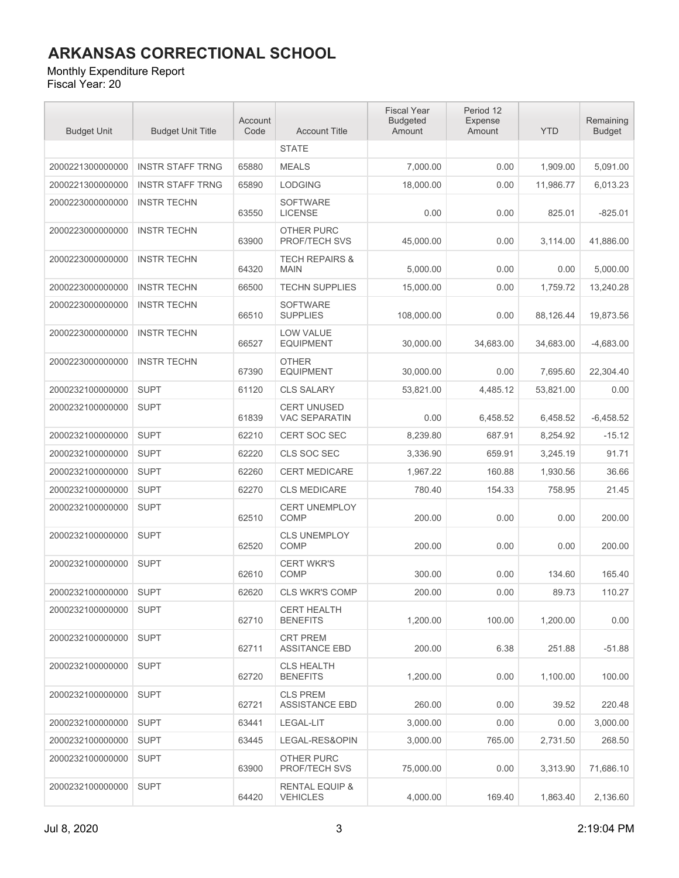#### Monthly Expenditure Report

| <b>Budget Unit</b> | <b>Budget Unit Title</b> | Account<br>Code | <b>Account Title</b>                         | <b>Fiscal Year</b><br><b>Budgeted</b><br>Amount | Period 12<br>Expense<br>Amount | <b>YTD</b> | Remaining<br><b>Budget</b> |
|--------------------|--------------------------|-----------------|----------------------------------------------|-------------------------------------------------|--------------------------------|------------|----------------------------|
|                    |                          |                 | <b>STATE</b>                                 |                                                 |                                |            |                            |
| 2000221300000000   | <b>INSTR STAFF TRNG</b>  | 65880           | <b>MEALS</b>                                 | 7,000.00                                        | 0.00                           | 1,909.00   | 5.091.00                   |
| 2000221300000000   | <b>INSTR STAFF TRNG</b>  | 65890           | <b>LODGING</b>                               | 18,000.00                                       | 0.00                           | 11,986.77  | 6,013.23                   |
| 2000223000000000   | <b>INSTR TECHN</b>       | 63550           | <b>SOFTWARE</b><br><b>LICENSE</b>            | 0.00                                            | 0.00                           | 825.01     | $-825.01$                  |
| 2000223000000000   | <b>INSTR TECHN</b>       | 63900           | OTHER PURC<br>PROF/TECH SVS                  | 45,000.00                                       | 0.00                           | 3,114.00   | 41,886.00                  |
| 2000223000000000   | <b>INSTR TECHN</b>       | 64320           | <b>TECH REPAIRS &amp;</b><br><b>MAIN</b>     | 5,000.00                                        | 0.00                           | 0.00       | 5,000.00                   |
| 2000223000000000   | <b>INSTR TECHN</b>       | 66500           | <b>TECHN SUPPLIES</b>                        | 15,000.00                                       | 0.00                           | 1,759.72   | 13,240.28                  |
| 2000223000000000   | <b>INSTR TECHN</b>       | 66510           | <b>SOFTWARE</b><br><b>SUPPLIES</b>           | 108,000.00                                      | 0.00                           | 88,126.44  | 19,873.56                  |
| 2000223000000000   | <b>INSTR TECHN</b>       | 66527           | <b>LOW VALUE</b><br><b>EQUIPMENT</b>         | 30,000.00                                       | 34,683.00                      | 34,683.00  | $-4,683.00$                |
| 2000223000000000   | <b>INSTR TECHN</b>       | 67390           | <b>OTHER</b><br><b>EQUIPMENT</b>             | 30,000.00                                       | 0.00                           | 7,695.60   | 22,304.40                  |
| 2000232100000000   | <b>SUPT</b>              | 61120           | <b>CLS SALARY</b>                            | 53.821.00                                       | 4.485.12                       | 53,821.00  | 0.00                       |
| 2000232100000000   | <b>SUPT</b>              | 61839           | <b>CERT UNUSED</b><br><b>VAC SEPARATIN</b>   | 0.00                                            | 6,458.52                       | 6,458.52   | $-6.458.52$                |
| 2000232100000000   | <b>SUPT</b>              | 62210           | <b>CERT SOC SEC</b>                          | 8,239.80                                        | 687.91                         | 8,254.92   | $-15.12$                   |
| 2000232100000000   | <b>SUPT</b>              | 62220           | CLS SOC SEC                                  | 3,336.90                                        | 659.91                         | 3,245.19   | 91.71                      |
| 2000232100000000   | <b>SUPT</b>              | 62260           | <b>CERT MEDICARE</b>                         | 1,967.22                                        | 160.88                         | 1,930.56   | 36.66                      |
| 2000232100000000   | <b>SUPT</b>              | 62270           | <b>CLS MEDICARE</b>                          | 780.40                                          | 154.33                         | 758.95     | 21.45                      |
| 2000232100000000   | <b>SUPT</b>              | 62510           | <b>CERT UNEMPLOY</b><br>COMP                 | 200.00                                          | 0.00                           | 0.00       | 200.00                     |
| 2000232100000000   | <b>SUPT</b>              | 62520           | CLS UNEMPLOY<br><b>COMP</b>                  | 200.00                                          | 0.00                           | 0.00       | 200.00                     |
| 2000232100000000   | <b>SUPT</b>              | 62610           | <b>CERT WKR'S</b><br><b>COMP</b>             | 300.00                                          | 0.00                           | 134.60     | 165.40                     |
| 2000232100000000   | <b>SUPT</b>              | 62620           | <b>CLS WKR'S COMP</b>                        | 200.00                                          | 0.00                           | 89.73      | 110.27                     |
| 2000232100000000   | <b>SUPT</b>              | 62710           | <b>CERT HEALTH</b><br><b>BENEFITS</b>        | 1,200.00                                        | 100.00                         | 1,200.00   | 0.00                       |
| 2000232100000000   | <b>SUPT</b>              | 62711           | <b>CRT PREM</b><br><b>ASSITANCE EBD</b>      | 200.00                                          | 6.38                           | 251.88     | $-51.88$                   |
| 2000232100000000   | <b>SUPT</b>              | 62720           | <b>CLS HEALTH</b><br><b>BENEFITS</b>         | 1,200.00                                        | 0.00                           | 1,100.00   | 100.00                     |
| 2000232100000000   | <b>SUPT</b>              | 62721           | <b>CLS PREM</b><br><b>ASSISTANCE EBD</b>     | 260.00                                          | 0.00                           | 39.52      | 220.48                     |
| 2000232100000000   | <b>SUPT</b>              | 63441           | LEGAL-LIT                                    | 3,000.00                                        | 0.00                           | 0.00       | 3,000.00                   |
| 2000232100000000   | <b>SUPT</b>              | 63445           | LEGAL-RES&OPIN                               | 3.000.00                                        | 765.00                         | 2,731.50   | 268.50                     |
| 2000232100000000   | <b>SUPT</b>              | 63900           | OTHER PURC<br>PROF/TECH SVS                  | 75,000.00                                       | 0.00                           | 3,313.90   | 71,686.10                  |
| 2000232100000000   | <b>SUPT</b>              | 64420           | <b>RENTAL EQUIP &amp;</b><br><b>VEHICLES</b> | 4,000.00                                        | 169.40                         | 1,863.40   | 2,136.60                   |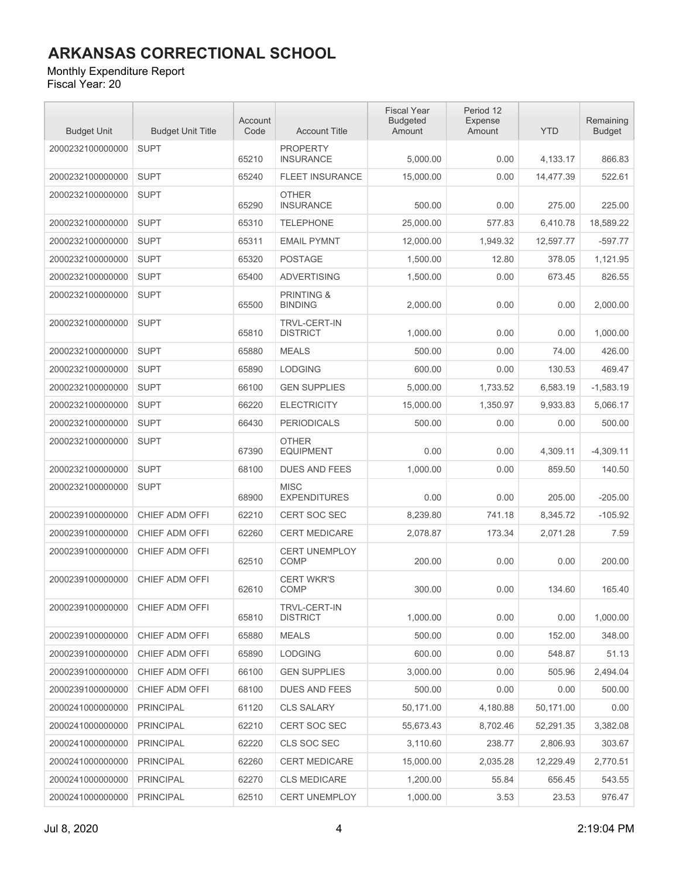#### Monthly Expenditure Report

| <b>Budget Unit</b> | <b>Budget Unit Title</b> | Account<br>Code | <b>Account Title</b>                    | <b>Fiscal Year</b><br><b>Budgeted</b><br>Amount | Period 12<br>Expense<br>Amount | <b>YTD</b> | Remaining<br><b>Budget</b> |
|--------------------|--------------------------|-----------------|-----------------------------------------|-------------------------------------------------|--------------------------------|------------|----------------------------|
| 2000232100000000   | <b>SUPT</b>              | 65210           | <b>PROPERTY</b><br><b>INSURANCE</b>     | 5,000.00                                        | 0.00                           | 4.133.17   | 866.83                     |
| 2000232100000000   | <b>SUPT</b>              | 65240           | <b>FLEET INSURANCE</b>                  | 15,000.00                                       | 0.00                           | 14,477.39  | 522.61                     |
| 2000232100000000   | <b>SUPT</b>              | 65290           | <b>OTHER</b><br><b>INSURANCE</b>        | 500.00                                          | 0.00                           | 275.00     | 225.00                     |
| 2000232100000000   | <b>SUPT</b>              | 65310           | <b>TELEPHONE</b>                        | 25,000.00                                       | 577.83                         | 6,410.78   | 18.589.22                  |
| 2000232100000000   | <b>SUPT</b>              | 65311           | <b>EMAIL PYMNT</b>                      | 12,000.00                                       | 1,949.32                       | 12,597.77  | $-597.77$                  |
| 2000232100000000   | <b>SUPT</b>              | 65320           | <b>POSTAGE</b>                          | 1,500.00                                        | 12.80                          | 378.05     | 1,121.95                   |
| 2000232100000000   | <b>SUPT</b>              | 65400           | <b>ADVERTISING</b>                      | 1,500.00                                        | 0.00                           | 673.45     | 826.55                     |
| 2000232100000000   | <b>SUPT</b>              | 65500           | <b>PRINTING &amp;</b><br><b>BINDING</b> | 2,000.00                                        | 0.00                           | 0.00       | 2,000.00                   |
| 2000232100000000   | <b>SUPT</b>              | 65810           | TRVL-CERT-IN<br><b>DISTRICT</b>         | 1,000.00                                        | 0.00                           | 0.00       | 1,000.00                   |
| 2000232100000000   | <b>SUPT</b>              | 65880           | <b>MEALS</b>                            | 500.00                                          | 0.00                           | 74.00      | 426.00                     |
| 2000232100000000   | <b>SUPT</b>              | 65890           | <b>LODGING</b>                          | 600.00                                          | 0.00                           | 130.53     | 469.47                     |
| 2000232100000000   | <b>SUPT</b>              | 66100           | <b>GEN SUPPLIES</b>                     | 5,000.00                                        | 1,733.52                       | 6,583.19   | $-1,583.19$                |
| 2000232100000000   | <b>SUPT</b>              | 66220           | <b>ELECTRICITY</b>                      | 15,000.00                                       | 1,350.97                       | 9,933.83   | 5,066.17                   |
| 2000232100000000   | <b>SUPT</b>              | 66430           | <b>PERIODICALS</b>                      | 500.00                                          | 0.00                           | 0.00       | 500.00                     |
| 2000232100000000   | <b>SUPT</b>              | 67390           | <b>OTHER</b><br><b>EQUIPMENT</b>        | 0.00                                            | 0.00                           | 4,309.11   | $-4,309.11$                |
| 2000232100000000   | <b>SUPT</b>              | 68100           | <b>DUES AND FEES</b>                    | 1,000.00                                        | 0.00                           | 859.50     | 140.50                     |
| 2000232100000000   | <b>SUPT</b>              | 68900           | <b>MISC</b><br><b>EXPENDITURES</b>      | 0.00                                            | 0.00                           | 205.00     | $-205.00$                  |
| 2000239100000000   | CHIEF ADM OFFI           | 62210           | <b>CERT SOC SEC</b>                     | 8,239.80                                        | 741.18                         | 8,345.72   | $-105.92$                  |
| 2000239100000000   | CHIEF ADM OFFI           | 62260           | <b>CERT MEDICARE</b>                    | 2,078.87                                        | 173.34                         | 2,071.28   | 7.59                       |
| 2000239100000000   | CHIEF ADM OFFI           | 62510           | <b>CERT UNEMPLOY</b><br>COMP            | 200.00                                          | 0.00                           | 0.00       | 200.00                     |
| 2000239100000000   | CHIEF ADM OFFI           | 62610           | <b>CERT WKR'S</b><br>COMP               | 300.00                                          | 0.00                           | 134.60     | 165.40                     |
| 2000239100000000   | CHIEF ADM OFFI           | 65810           | TRVL-CERT-IN<br><b>DISTRICT</b>         | 1,000.00                                        | 0.00                           | 0.00       | 1,000.00                   |
| 2000239100000000   | CHIEF ADM OFFI           | 65880           | <b>MEALS</b>                            | 500.00                                          | 0.00                           | 152.00     | 348.00                     |
| 2000239100000000   | CHIEF ADM OFFI           | 65890           | <b>LODGING</b>                          | 600.00                                          | 0.00                           | 548.87     | 51.13                      |
| 2000239100000000   | CHIEF ADM OFFI           | 66100           | <b>GEN SUPPLIES</b>                     | 3,000.00                                        | 0.00                           | 505.96     | 2,494.04                   |
| 2000239100000000   | CHIEF ADM OFFI           | 68100           | <b>DUES AND FEES</b>                    | 500.00                                          | 0.00                           | 0.00       | 500.00                     |
| 2000241000000000   | <b>PRINCIPAL</b>         | 61120           | <b>CLS SALARY</b>                       | 50,171.00                                       | 4,180.88                       | 50,171.00  | 0.00                       |
| 2000241000000000   | <b>PRINCIPAL</b>         | 62210           | <b>CERT SOC SEC</b>                     | 55.673.43                                       | 8,702.46                       | 52.291.35  | 3,382.08                   |
| 2000241000000000   | <b>PRINCIPAL</b>         | 62220           | CLS SOC SEC                             | 3,110.60                                        | 238.77                         | 2,806.93   | 303.67                     |
| 2000241000000000   | <b>PRINCIPAL</b>         | 62260           | <b>CERT MEDICARE</b>                    | 15,000.00                                       | 2,035.28                       | 12,229.49  | 2,770.51                   |
| 2000241000000000   | <b>PRINCIPAL</b>         | 62270           | <b>CLS MEDICARE</b>                     | 1,200.00                                        | 55.84                          | 656.45     | 543.55                     |
| 2000241000000000   | <b>PRINCIPAL</b>         | 62510           | <b>CERT UNEMPLOY</b>                    | 1,000.00                                        | 3.53                           | 23.53      | 976.47                     |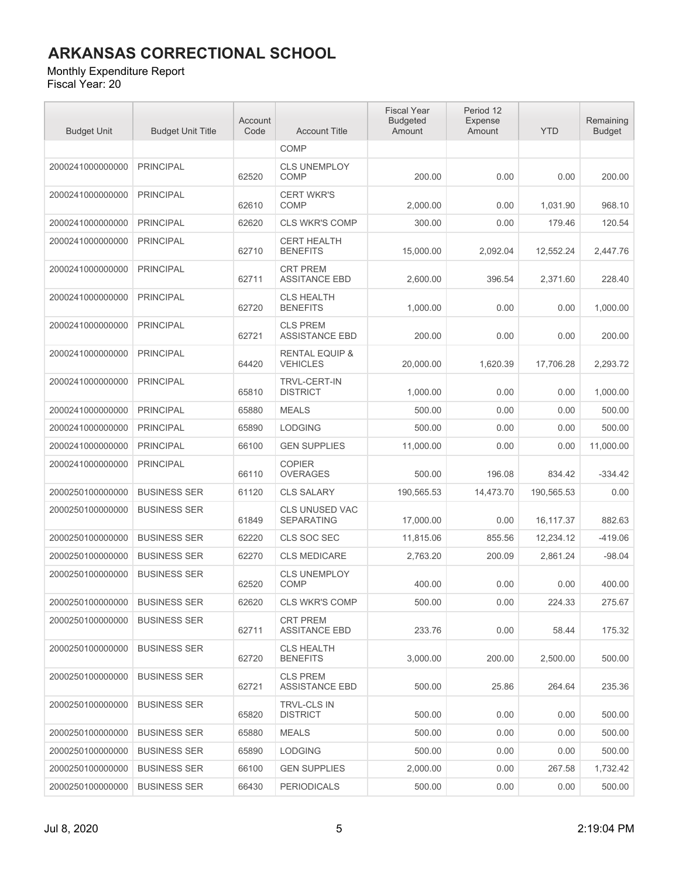#### Monthly Expenditure Report

| <b>Budget Unit</b> | <b>Budget Unit Title</b> | Account<br>Code | <b>Account Title</b>                         | <b>Fiscal Year</b><br><b>Budgeted</b><br>Amount | Period 12<br>Expense<br>Amount | <b>YTD</b> | Remaining<br><b>Budget</b> |
|--------------------|--------------------------|-----------------|----------------------------------------------|-------------------------------------------------|--------------------------------|------------|----------------------------|
|                    |                          |                 | <b>COMP</b>                                  |                                                 |                                |            |                            |
| 2000241000000000   | <b>PRINCIPAL</b>         | 62520           | <b>CLS UNEMPLOY</b><br><b>COMP</b>           | 200.00                                          | 0.00                           | 0.00       | 200.00                     |
| 2000241000000000   | <b>PRINCIPAL</b>         | 62610           | <b>CERT WKR'S</b><br><b>COMP</b>             | 2,000.00                                        | 0.00                           | 1,031.90   | 968.10                     |
| 2000241000000000   | <b>PRINCIPAL</b>         | 62620           | <b>CLS WKR'S COMP</b>                        | 300.00                                          | 0.00                           | 179.46     | 120.54                     |
| 2000241000000000   | <b>PRINCIPAL</b>         | 62710           | <b>CERT HEALTH</b><br><b>BENEFITS</b>        | 15,000.00                                       | 2,092.04                       | 12,552.24  | 2,447.76                   |
| 2000241000000000   | <b>PRINCIPAL</b>         | 62711           | <b>CRT PREM</b><br><b>ASSITANCE EBD</b>      | 2,600.00                                        | 396.54                         | 2,371.60   | 228.40                     |
| 2000241000000000   | <b>PRINCIPAL</b>         | 62720           | <b>CLS HEALTH</b><br><b>BENEFITS</b>         | 1,000.00                                        | 0.00                           | 0.00       | 1,000.00                   |
| 2000241000000000   | <b>PRINCIPAL</b>         | 62721           | <b>CLS PREM</b><br><b>ASSISTANCE EBD</b>     | 200.00                                          | 0.00                           | 0.00       | 200.00                     |
| 2000241000000000   | <b>PRINCIPAL</b>         | 64420           | <b>RENTAL EQUIP &amp;</b><br><b>VEHICLES</b> | 20,000.00                                       | 1,620.39                       | 17,706.28  | 2,293.72                   |
| 2000241000000000   | <b>PRINCIPAL</b>         | 65810           | TRVL-CERT-IN<br><b>DISTRICT</b>              | 1,000.00                                        | 0.00                           | 0.00       | 1,000.00                   |
| 2000241000000000   | <b>PRINCIPAL</b>         | 65880           | <b>MEALS</b>                                 | 500.00                                          | 0.00                           | 0.00       | 500.00                     |
| 2000241000000000   | <b>PRINCIPAL</b>         | 65890           | <b>LODGING</b>                               | 500.00                                          | 0.00                           | 0.00       | 500.00                     |
| 2000241000000000   | <b>PRINCIPAL</b>         | 66100           | <b>GEN SUPPLIES</b>                          | 11,000.00                                       | 0.00                           | 0.00       | 11,000.00                  |
| 2000241000000000   | <b>PRINCIPAL</b>         | 66110           | <b>COPIER</b><br><b>OVERAGES</b>             | 500.00                                          | 196.08                         | 834.42     | $-334.42$                  |
| 2000250100000000   | <b>BUSINESS SER</b>      | 61120           | <b>CLS SALARY</b>                            | 190,565.53                                      | 14,473.70                      | 190,565.53 | 0.00                       |
| 2000250100000000   | <b>BUSINESS SER</b>      | 61849           | <b>CLS UNUSED VAC</b><br><b>SEPARATING</b>   | 17,000.00                                       | 0.00                           | 16,117.37  | 882.63                     |
| 2000250100000000   | <b>BUSINESS SER</b>      | 62220           | CLS SOC SEC                                  | 11,815.06                                       | 855.56                         | 12,234.12  | -419.06                    |
| 2000250100000000   | <b>BUSINESS SER</b>      | 62270           | <b>CLS MEDICARE</b>                          | 2,763.20                                        | 200.09                         | 2,861.24   | $-98.04$                   |
| 2000250100000000   | <b>BUSINESS SER</b>      | 62520           | <b>CLS UNEMPLOY</b><br><b>COMP</b>           | 400.00                                          | 0.00                           | 0.00       | 400.00                     |
| 2000250100000000   | <b>BUSINESS SER</b>      | 62620           | CLS WKR'S COMP                               | 500.00                                          | 0.00                           | 224.33     | 275.67                     |
| 2000250100000000   | <b>BUSINESS SER</b>      | 62711           | <b>CRT PREM</b><br><b>ASSITANCE EBD</b>      | 233.76                                          | 0.00                           | 58.44      | 175.32                     |
| 2000250100000000   | <b>BUSINESS SER</b>      | 62720           | <b>CLS HEALTH</b><br><b>BENEFITS</b>         | 3,000.00                                        | 200.00                         | 2,500.00   | 500.00                     |
| 2000250100000000   | <b>BUSINESS SER</b>      | 62721           | <b>CLS PREM</b><br><b>ASSISTANCE EBD</b>     | 500.00                                          | 25.86                          | 264.64     | 235.36                     |
| 2000250100000000   | <b>BUSINESS SER</b>      | 65820           | <b>TRVL-CLS IN</b><br><b>DISTRICT</b>        | 500.00                                          | 0.00                           | 0.00       | 500.00                     |
| 2000250100000000   | <b>BUSINESS SER</b>      | 65880           | <b>MEALS</b>                                 | 500.00                                          | 0.00                           | 0.00       | 500.00                     |
| 2000250100000000   | <b>BUSINESS SER</b>      | 65890           | <b>LODGING</b>                               | 500.00                                          | 0.00                           | 0.00       | 500.00                     |
| 2000250100000000   | <b>BUSINESS SER</b>      | 66100           | <b>GEN SUPPLIES</b>                          | 2,000.00                                        | 0.00                           | 267.58     | 1,732.42                   |
| 2000250100000000   | <b>BUSINESS SER</b>      | 66430           | <b>PERIODICALS</b>                           | 500.00                                          | 0.00                           | 0.00       | 500.00                     |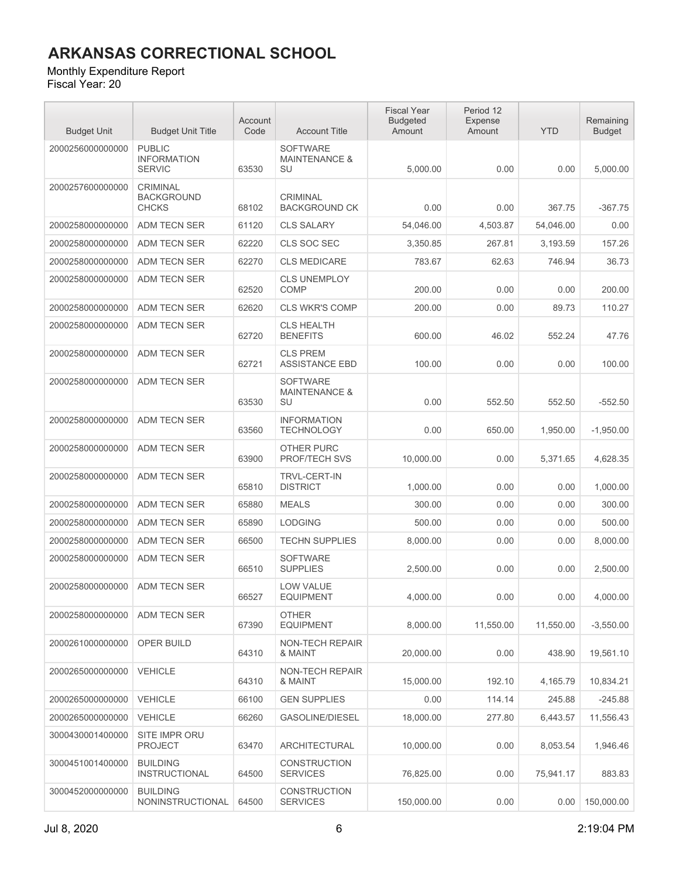#### Monthly Expenditure Report

| <b>Budget Unit</b> | <b>Budget Unit Title</b>                             | Account<br>Code | <b>Account Title</b>                              | <b>Fiscal Year</b><br><b>Budgeted</b><br>Amount | Period 12<br>Expense<br>Amount | <b>YTD</b> | Remaining<br><b>Budget</b> |
|--------------------|------------------------------------------------------|-----------------|---------------------------------------------------|-------------------------------------------------|--------------------------------|------------|----------------------------|
| 2000256000000000   | <b>PUBLIC</b><br><b>INFORMATION</b><br><b>SERVIC</b> | 63530           | <b>SOFTWARE</b><br><b>MAINTENANCE &amp;</b><br>SU | 5,000.00                                        | 0.00                           | 0.00       | 5,000.00                   |
| 2000257600000000   | <b>CRIMINAL</b><br><b>BACKGROUND</b><br><b>CHCKS</b> | 68102           | <b>CRIMINAL</b><br><b>BACKGROUND CK</b>           | 0.00                                            | 0.00                           | 367.75     | $-367.75$                  |
| 2000258000000000   | ADM TECN SER                                         | 61120           | <b>CLS SALARY</b>                                 | 54,046.00                                       | 4,503.87                       | 54,046.00  | 0.00                       |
| 2000258000000000   | ADM TECN SER                                         | 62220           | CLS SOC SEC                                       | 3.350.85                                        | 267.81                         | 3,193.59   | 157.26                     |
| 2000258000000000   | ADM TECN SER                                         | 62270           | <b>CLS MEDICARE</b>                               | 783.67                                          | 62.63                          | 746.94     | 36.73                      |
| 2000258000000000   | <b>ADM TECN SER</b>                                  | 62520           | <b>CLS UNEMPLOY</b><br>COMP                       | 200.00                                          | 0.00                           | 0.00       | 200.00                     |
| 2000258000000000   | <b>ADM TECN SER</b>                                  | 62620           | <b>CLS WKR'S COMP</b>                             | 200.00                                          | 0.00                           | 89.73      | 110.27                     |
| 2000258000000000   | ADM TECN SER                                         | 62720           | <b>CLS HEALTH</b><br><b>BENEFITS</b>              | 600.00                                          | 46.02                          | 552.24     | 47.76                      |
| 2000258000000000   | <b>ADM TECN SER</b>                                  | 62721           | <b>CLS PREM</b><br><b>ASSISTANCE EBD</b>          | 100.00                                          | 0.00                           | 0.00       | 100.00                     |
| 2000258000000000   | <b>ADM TECN SER</b>                                  | 63530           | <b>SOFTWARE</b><br><b>MAINTENANCE &amp;</b><br>SU | 0.00                                            | 552.50                         | 552.50     | -552.50                    |
| 2000258000000000   | <b>ADM TECN SER</b>                                  | 63560           | <b>INFORMATION</b><br><b>TECHNOLOGY</b>           | 0.00                                            | 650.00                         | 1,950.00   | $-1,950.00$                |
| 2000258000000000   | <b>ADM TECN SER</b>                                  | 63900           | <b>OTHER PURC</b><br>PROF/TECH SVS                | 10,000.00                                       | 0.00                           | 5,371.65   | 4,628.35                   |
| 2000258000000000   | <b>ADM TECN SER</b>                                  | 65810           | <b>TRVL-CERT-IN</b><br><b>DISTRICT</b>            | 1,000.00                                        | 0.00                           | 0.00       | 1,000.00                   |
| 2000258000000000   | ADM TECN SER                                         | 65880           | <b>MEALS</b>                                      | 300.00                                          | 0.00                           | 0.00       | 300.00                     |
| 2000258000000000   | ADM TECN SER                                         | 65890           | <b>LODGING</b>                                    | 500.00                                          | 0.00                           | 0.00       | 500.00                     |
| 2000258000000000   | ADM TECN SER                                         | 66500           | <b>TECHN SUPPLIES</b>                             | 8,000.00                                        | 0.00                           | 0.00       | 8,000.00                   |
| 2000258000000000   | <b>ADM TECN SER</b>                                  | 66510           | SOFTWARE<br><b>SUPPLIES</b>                       | 2,500.00                                        | 0.00                           | 0.00       | 2,500.00                   |
| 2000258000000000   | <b>ADM TECN SER</b>                                  | 66527           | <b>LOW VALUE</b><br><b>EQUIPMENT</b>              | 4,000.00                                        | 0.00                           | 0.00       | 4,000.00                   |
| 2000258000000000   | ADM TECN SER                                         | 67390           | <b>OTHER</b><br><b>EQUIPMENT</b>                  | 8,000.00                                        | 11,550.00                      | 11,550.00  | $-3,550.00$                |
| 2000261000000000   | OPER BUILD                                           | 64310           | <b>NON-TECH REPAIR</b><br>& MAINT                 | 20.000.00                                       | 0.00                           | 438.90     | 19,561.10                  |
| 2000265000000000   | <b>VEHICLE</b>                                       | 64310           | <b>NON-TECH REPAIR</b><br>& MAINT                 | 15,000.00                                       | 192.10                         | 4,165.79   | 10,834.21                  |
| 2000265000000000   | <b>VEHICLE</b>                                       | 66100           | <b>GEN SUPPLIES</b>                               | 0.00                                            | 114.14                         | 245.88     | $-245.88$                  |
| 2000265000000000   | <b>VEHICLE</b>                                       | 66260           | GASOLINE/DIESEL                                   | 18,000.00                                       | 277.80                         | 6,443.57   | 11,556.43                  |
| 3000430001400000   | SITE IMPR ORU<br><b>PROJECT</b>                      | 63470           | ARCHITECTURAL                                     | 10,000.00                                       | 0.00                           | 8,053.54   | 1,946.46                   |
| 3000451001400000   | <b>BUILDING</b><br><b>INSTRUCTIONAL</b>              | 64500           | <b>CONSTRUCTION</b><br><b>SERVICES</b>            | 76,825.00                                       | 0.00                           | 75,941.17  | 883.83                     |
| 3000452000000000   | <b>BUILDING</b><br>NONINSTRUCTIONAL                  | 64500           | <b>CONSTRUCTION</b><br><b>SERVICES</b>            | 150,000.00                                      | 0.00                           | 0.00       | 150,000.00                 |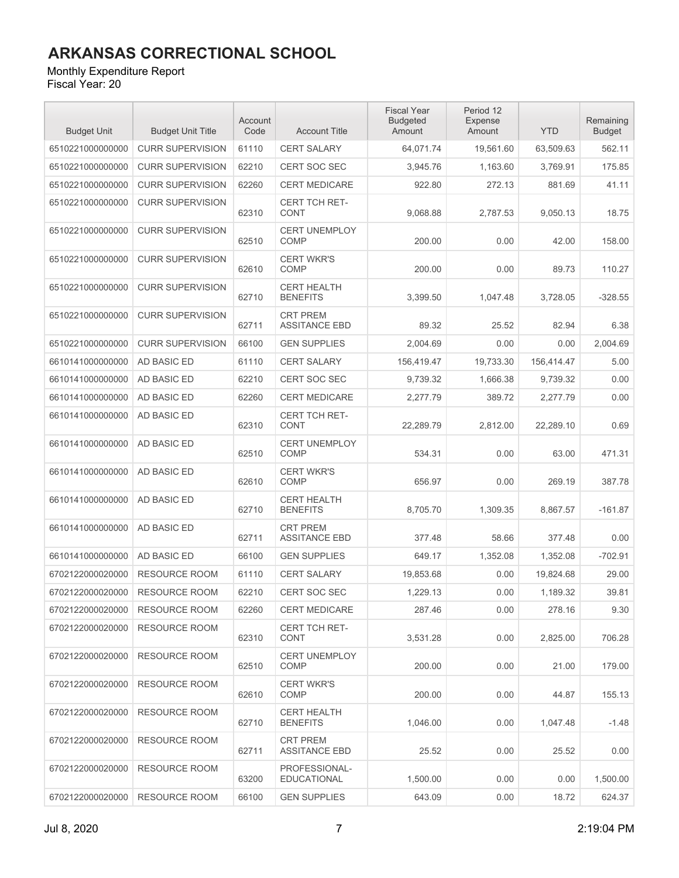#### Monthly Expenditure Report

| <b>Budget Unit</b> | <b>Budget Unit Title</b> | Account<br>Code | <b>Account Title</b>                    | <b>Fiscal Year</b><br><b>Budgeted</b><br>Amount | Period 12<br>Expense<br>Amount | <b>YTD</b> | Remaining<br><b>Budget</b> |
|--------------------|--------------------------|-----------------|-----------------------------------------|-------------------------------------------------|--------------------------------|------------|----------------------------|
| 6510221000000000   | <b>CURR SUPERVISION</b>  | 61110           | CERT SALARY                             | 64,071.74                                       | 19,561.60                      | 63,509.63  | 562.11                     |
| 6510221000000000   | <b>CURR SUPERVISION</b>  | 62210           | <b>CERT SOC SEC</b>                     | 3,945.76                                        | 1,163.60                       | 3,769.91   | 175.85                     |
| 6510221000000000   | <b>CURR SUPERVISION</b>  | 62260           | <b>CERT MEDICARE</b>                    | 922.80                                          | 272.13                         | 881.69     | 41.11                      |
| 6510221000000000   | <b>CURR SUPERVISION</b>  | 62310           | <b>CERT TCH RET-</b><br>CONT            | 9,068.88                                        | 2,787.53                       | 9,050.13   | 18.75                      |
| 6510221000000000   | <b>CURR SUPERVISION</b>  | 62510           | <b>CERT UNEMPLOY</b><br><b>COMP</b>     | 200.00                                          | 0.00                           | 42.00      | 158.00                     |
| 6510221000000000   | <b>CURR SUPERVISION</b>  | 62610           | <b>CERT WKR'S</b><br><b>COMP</b>        | 200.00                                          | 0.00                           | 89.73      | 110.27                     |
| 6510221000000000   | <b>CURR SUPERVISION</b>  | 62710           | <b>CERT HEALTH</b><br><b>BENEFITS</b>   | 3,399.50                                        | 1,047.48                       | 3,728.05   | $-328.55$                  |
| 6510221000000000   | <b>CURR SUPERVISION</b>  | 62711           | <b>CRT PREM</b><br><b>ASSITANCE EBD</b> | 89.32                                           | 25.52                          | 82.94      | 6.38                       |
| 6510221000000000   | <b>CURR SUPERVISION</b>  | 66100           | <b>GEN SUPPLIES</b>                     | 2,004.69                                        | 0.00                           | 0.00       | 2,004.69                   |
| 6610141000000000   | AD BASIC ED              | 61110           | <b>CERT SALARY</b>                      | 156.419.47                                      | 19,733.30                      | 156,414.47 | 5.00                       |
| 6610141000000000   | AD BASIC ED              | 62210           | CERT SOC SEC                            | 9,739.32                                        | 1,666.38                       | 9,739.32   | 0.00                       |
| 6610141000000000   | AD BASIC ED              | 62260           | <b>CERT MEDICARE</b>                    | 2,277.79                                        | 389.72                         | 2.277.79   | 0.00                       |
| 6610141000000000   | AD BASIC ED              | 62310           | <b>CERT TCH RET-</b><br><b>CONT</b>     | 22,289.79                                       | 2,812.00                       | 22,289.10  | 0.69                       |
| 6610141000000000   | AD BASIC ED              | 62510           | <b>CERT UNEMPLOY</b><br><b>COMP</b>     | 534.31                                          | 0.00                           | 63.00      | 471.31                     |
| 6610141000000000   | AD BASIC ED              | 62610           | <b>CERT WKR'S</b><br><b>COMP</b>        | 656.97                                          | 0.00                           | 269.19     | 387.78                     |
| 6610141000000000   | <b>AD BASIC ED</b>       | 62710           | <b>CERT HEALTH</b><br><b>BENEFITS</b>   | 8,705.70                                        | 1,309.35                       | 8,867.57   | $-161.87$                  |
| 6610141000000000   | AD BASIC ED              | 62711           | <b>CRT PREM</b><br><b>ASSITANCE EBD</b> | 377.48                                          | 58.66                          | 377.48     | 0.00                       |
| 6610141000000000   | AD BASIC ED              | 66100           | <b>GEN SUPPLIES</b>                     | 649.17                                          | 1,352.08                       | 1,352.08   | $-702.91$                  |
| 6702122000020000   | <b>RESOURCE ROOM</b>     | 61110           | <b>CERT SALARY</b>                      | 19,853.68                                       | 0.00                           | 19,824.68  | 29.00                      |
| 6702122000020000   | <b>RESOURCE ROOM</b>     | 62210           | <b>CERT SOC SEC</b>                     | 1,229.13                                        | 0.00                           | 1,189.32   | 39.81                      |
| 6702122000020000   | <b>RESOURCE ROOM</b>     | 62260           | <b>CERT MEDICARE</b>                    | 287.46                                          | 0.00                           | 278.16     | 9.30                       |
| 6702122000020000   | <b>RESOURCE ROOM</b>     | 62310           | <b>CERT TCH RET-</b><br><b>CONT</b>     | 3,531.28                                        | 0.00                           | 2,825.00   | 706.28                     |
| 6702122000020000   | <b>RESOURCE ROOM</b>     | 62510           | <b>CERT UNEMPLOY</b><br><b>COMP</b>     | 200.00                                          | 0.00                           | 21.00      | 179.00                     |
| 6702122000020000   | <b>RESOURCE ROOM</b>     | 62610           | <b>CERT WKR'S</b><br><b>COMP</b>        | 200.00                                          | 0.00                           | 44.87      | 155.13                     |
| 6702122000020000   | <b>RESOURCE ROOM</b>     | 62710           | <b>CERT HEALTH</b><br><b>BENEFITS</b>   | 1,046.00                                        | 0.00                           | 1.047.48   | $-1.48$                    |
| 6702122000020000   | <b>RESOURCE ROOM</b>     | 62711           | <b>CRT PREM</b><br><b>ASSITANCE EBD</b> | 25.52                                           | 0.00                           | 25.52      | 0.00                       |
| 6702122000020000   | RESOURCE ROOM            | 63200           | PROFESSIONAL-<br>EDUCATIONAL            | 1,500.00                                        | 0.00                           | 0.00       | 1,500.00                   |
| 6702122000020000   | <b>RESOURCE ROOM</b>     | 66100           | <b>GEN SUPPLIES</b>                     | 643.09                                          | 0.00                           | 18.72      | 624.37                     |